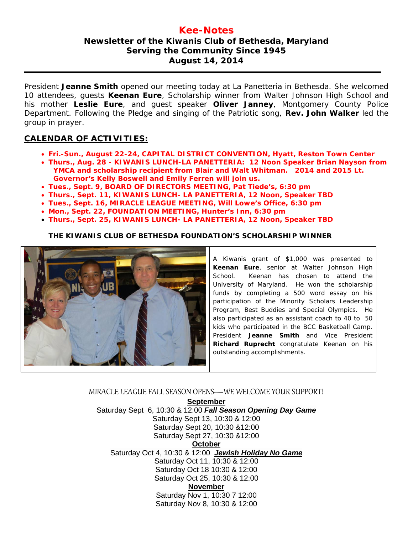## **Kee-Notes Newsletter of the Kiwanis Club of Bethesda, Maryland Serving the Community Since 1945 August 14, 2014**

President **Jeanne Smith** opened our meeting today at La Panetteria in Bethesda. She welcomed 10 attendees, guests **Keenan Eure**, Scholarship winner from Walter Johnson High School and his mother **Leslie Eure**, and guest speaker **Oliver Janney**, Montgomery County Police Department. Following the Pledge and singing of the Patriotic song, **Rev. John Walker** led the group in prayer.

## **CALENDAR OF ACTIVITIES:**

- **Fri.-Sun., August 22-24, CAPITAL DISTRICT CONVENTION, Hyatt, Reston Town Center**
- **Thurs., Aug. 28 - KIWANIS LUNCH-LA PANETTERIA: 12 Noon Speaker Brian Nayson from YMCA and scholarship recipient from Blair and Walt Whitman. 2014 and 2015 Lt. Governor's Kelly Boswell and Emily Ferren will join us.**
- **Tues., Sept. 9, BOARD OF DIRECTORS MEETING, Pat Tiede's, 6:30 pm**
- **Thurs., Sept. 11, KIWANIS LUNCH- LA PANETTERIA, 12 Noon, Speaker TBD**
- **Tues., Sept. 16, MIRACLE LEAGUE MEETING, Will Lowe's Office, 6:30 pm**
- **Mon., Sept. 22, FOUNDATION MEETING, Hunter's Inn, 6:30 pm**
- **Thurs., Sept. 25, KIWANIS LUNCH- LA PANETTERIA, 12 Noon, Speaker TBD**

#### **THE KIWANIS CLUB OF BETHESDA FOUNDATION'S SCHOLARSHIP WINNER**



A Kiwanis grant of \$1,000 was presented to **Keenan Eure**, senior at Walter Johnson High School. Keenan has chosen to attend the University of Maryland. He won the scholarship funds by completing a 500 word essay on his participation of the Minority Scholars Leadership Program, Best Buddies and Special Olympics. He also participated as an assistant coach to 40 to 50 kids who participated in the BCC Basketball Camp. President **Jeanne Smith** and Vice President **Richard Ruprecht** congratulate Keenan on his outstanding accomplishments.

### MIRACLE LEAGUE FALL SEASON OPENS—WE WELCOME YOUR SUPPORT!

**September**

Saturday Sept 6, 10:30 & 12:00 *Fall Season Opening Day Game* Saturday Sept 13, 10:30 & 12:00 Saturday Sept 20, 10:30 &12:00 Saturday Sept 27, 10:30 &12:00 **October** Saturday Oct 4, 10:30 & 12:00 *Jewish Holiday No Game* Saturday Oct 11, 10:30 & 12:00 Saturday Oct 18 10:30 & 12:00 Saturday Oct 25, 10:30 & 12:00 **November** Saturday Nov 1, 10:30 7 12:00 Saturday Nov 8, 10:30 & 12:00